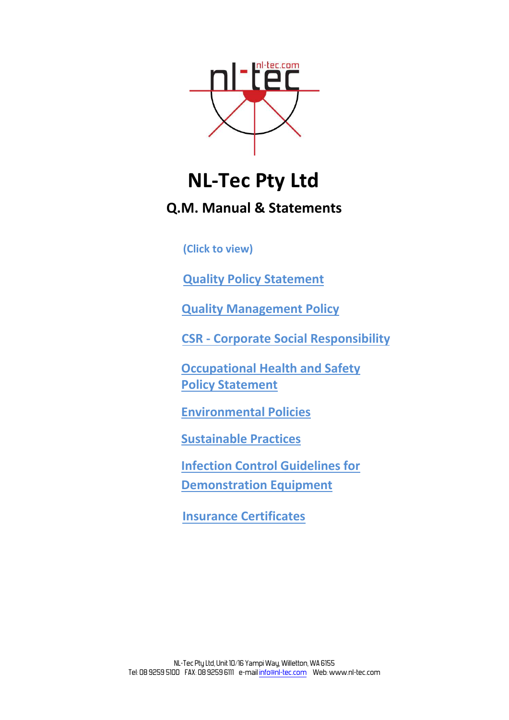<span id="page-0-0"></span>

# **NL‐Tec Pty Ltd**

**Q.M. Manual & Statements**

**(Click to view)**

**Quality Policy [Statement](#page-1-0)** 

**Quality [Management](#page-2-0) Policy** 

**[CSR - Corporate Social](#page-4-0) Responsibility**

**Occupational Health and Safety Policy [Statement](#page-5-0)**

**[Environmental](#page-6-0) Policies**

**[Sustainable](#page-8-0) Practices**

**Infection Control Guidelines for [Demonstration](#page-10-0) Equipment**

**Insurance Certificates**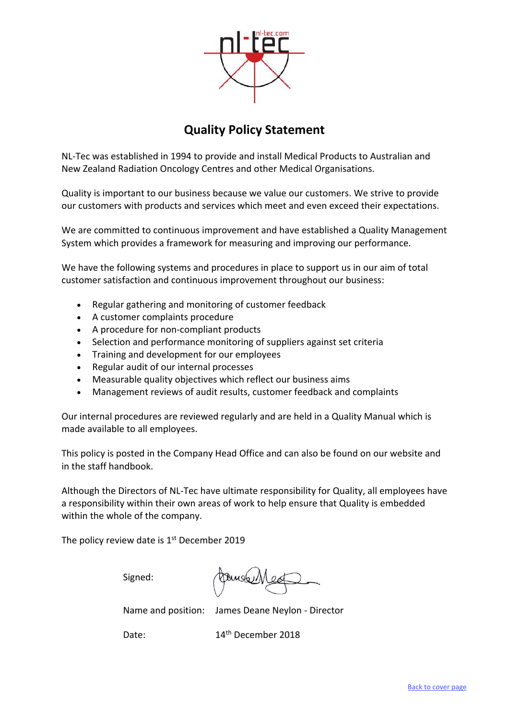

# **Quality Policy Statement**

<span id="page-1-0"></span>NL‐Tec was established in 1994 to provide and install Medical Products to Australian and New Zealand Radiation Oncology Centres and other Medical Organisations.

Quality is important to our business because we value our customers. We strive to provide our customers with products and services which meet and even exceed their expectations.

We are committed to continuous improvement and have established a Quality Management System which provides a framework for measuring and improving our performance.

We have the following systems and procedures in place to support us in our aim of total customer satisfaction and continuous improvement throughout our business:

- Regular gathering and monitoring of customer feedback
- A customer complaints procedure
- A procedure for non-compliant products
- Selection and performance monitoring of suppliers against set criteria
- Training and development for our employees
- Regular audit of our internal processes
- Measurable quality objectives which reflect our business aims
- Management reviews of audit results, customer feedback and complaints

Our internal procedures are reviewed regularly and are held in a Quality Manual which is made available to all employees.

This policy is posted in the Company Head Office and can also be found on our website and in the staff handbook.

Although the Directors of NL‐Tec have ultimate responsibility for Quality, all employees have a responsibility within their own areas of work to help ensure that Quality is embedded within the whole of the company.

The policy review date is  $1<sup>st</sup>$  December 2019

Signed:

Dungberr

Name and position: James Deane Neylon ‐ Director

Date: 14<sup>th</sup> December 2018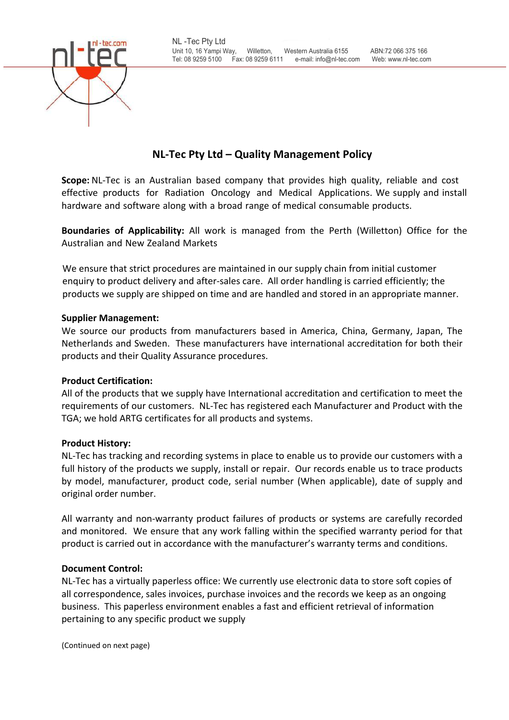<span id="page-2-0"></span>

# **NL‐Tec Pty Ltd – Quality Management Policy**

**Scope:** NL-Tec is an Australian based company that provides high quality, reliable and cost effective products for Radiation Oncology and Medical Applications. We supply and install hardware and software along with a broad range of medical consumable products.

**Boundaries of Applicability:** All work is managed from the Perth (Willetton) Office for the Australian and New Zealand Markets

We ensure that strict procedures are maintained in our supply chain from initial customer enquiry to product delivery and after-sales care. All order handling is carried efficiently; the products we supply are shipped on time and are handled and stored in an appropriate manner.

# **Supplier Management:**

We source our products from manufacturers based in America, China, Germany, Japan, The Netherlands and Sweden. These manufacturers have international accreditation for both their products and their Quality Assurance procedures.

# **Product Certification:**

All of the products that we supply have International accreditation and certification to meet the requirements of our customers. NL‐Tec has registered each Manufacturer and Product with the TGA; we hold ARTG certificates for all products and systems.

## **Product History:**

NL-Tec has tracking and recording systems in place to enable us to provide our customers with a full history of the products we supply, install or repair. Our records enable us to trace products by model, manufacturer, product code, serial number (When applicable), date of supply and original order number.

All warranty and non‐warranty product failures of products or systems are carefully recorded and monitored. We ensure that any work falling within the specified warranty period for that product is carried out in accordance with the manufacturer's warranty terms and conditions.

## **Document Control:**

NL‐Tec has a virtually paperless office: We currently use electronic data to store soft copies of all correspondence, sales invoices, purchase invoices and the records we keep as an ongoing business. This paperless environment enables a fast and efficient retrieval of information pertaining to any specific product we supply

(Continued on next page)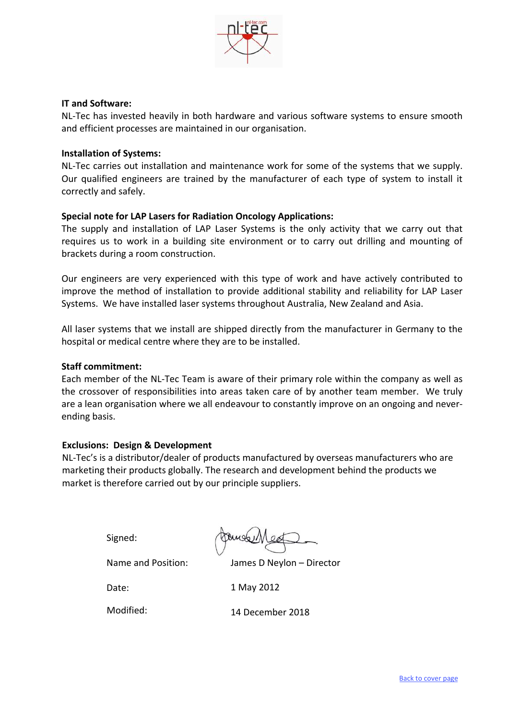

#### **IT and Software:**

NL‐Tec has invested heavily in both hardware and various software systems to ensure smooth and efficient processes are maintained in our organisation.

#### **Installation of Systems:**

NL‐Tec carries out installation and maintenance work for some of the systems that we supply. Our qualified engineers are trained by the manufacturer of each type of system to install it correctly and safely.

## **Special note for LAP Lasers for Radiation Oncology Applications:**

The supply and installation of LAP Laser Systems is the only activity that we carry out that requires us to work in a building site environment or to carry out drilling and mounting of brackets during a room construction.

Our engineers are very experienced with this type of work and have actively contributed to improve the method of installation to provide additional stability and reliability for LAP Laser Systems. We have installed laser systems throughout Australia, New Zealand and Asia.

All laser systems that we install are shipped directly from the manufacturer in Germany to the hospital or medical centre where they are to be installed.

#### **Staff commitment:**

Each member of the NL‐Tec Team is aware of their primary role within the company as well as the crossover of responsibilities into areas taken care of by another team member. We truly are a lean organisation where we all endeavour to constantly improve on an ongoing and never‐ ending basis.

## **Exclusions: Design & Development**

NL-Tec's is a distributor/dealer of products manufactured by overseas manufacturers who are marketing their products globally. The research and development behind the products we market is therefore carried out by our principle suppliers.

Signed:

James D Neylon – Director

Date:

1 May 2012

Modified:

Name and Position:

14 December 2018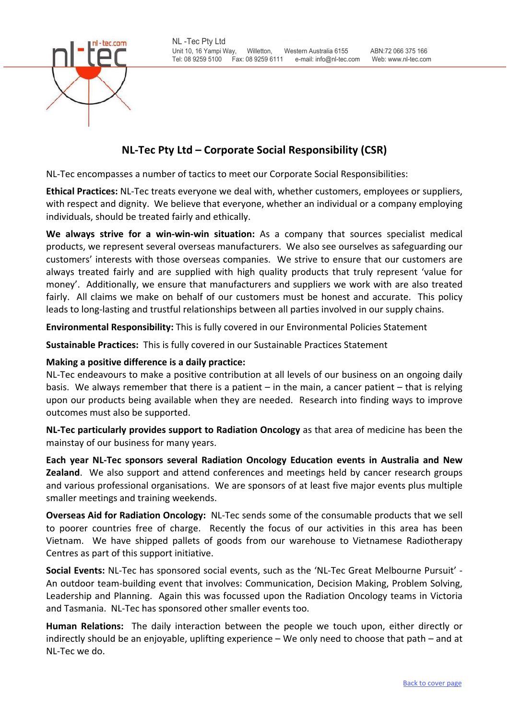

<span id="page-4-0"></span>

# **NL‐Tec Pty Ltd – Corporate Social Responsibility (CSR)**

NL‐Tec encompasses a number of tactics to meet our Corporate Social Responsibilities:

**Ethical Practices:** NL‐Tec treats everyone we deal with, whether customers, employees or suppliers, with respect and dignity. We believe that everyone, whether an individual or a company employing individuals, should be treated fairly and ethically.

**We always strive for a win‐win‐win situation:** As a company that sources specialist medical products, we represent several overseas manufacturers. We also see ourselves as safeguarding our customers' interests with those overseas companies. We strive to ensure that our customers are always treated fairly and are supplied with high quality products that truly represent 'value for money'. Additionally, we ensure that manufacturers and suppliers we work with are also treated fairly. All claims we make on behalf of our customers must be honest and accurate. This policy leads to long‐lasting and trustful relationships between all parties involved in our supply chains.

**Environmental Responsibility:** This is fully covered in our Environmental Policies Statement

**Sustainable Practices:** This is fully covered in our Sustainable Practices Statement

#### **Making a positive difference is a daily practice:**

NL-Tec endeavours to make a positive contribution at all levels of our business on an ongoing daily basis. We always remember that there is a patient – in the main, a cancer patient – that is relying upon our products being available when they are needed. Research into finding ways to improve outcomes must also be supported.

**NL‐Tec particularly provides support to Radiation Oncology** as that area of medicine has been the mainstay of our business for many years.

**Each year NL‐Tec sponsors several Radiation Oncology Education events in Australia and New Zealand**. We also support and attend conferences and meetings held by cancer research groups and various professional organisations. We are sponsors of at least five major events plus multiple smaller meetings and training weekends.

**Overseas Aid for Radiation Oncology:** NL‐Tec sends some of the consumable products that we sell to poorer countries free of charge. Recently the focus of our activities in this area has been Vietnam. We have shipped pallets of goods from our warehouse to Vietnamese Radiotherapy Centres as part of this support initiative.

**Social Events:** NL‐Tec has sponsored social events, such as the 'NL‐Tec Great Melbourne Pursuit' ‐ An outdoor team‐building event that involves: Communication, Decision Making, Problem Solving, Leadership and Planning. Again this was focussed upon the Radiation Oncology teams in Victoria and Tasmania. NL‐Tec has sponsored other smaller events too.

**Human Relations:** The daily interaction between the people we touch upon, either directly or indirectly should be an enjoyable, uplifting experience – We only need to choose that path – and at NL‐Tec we do.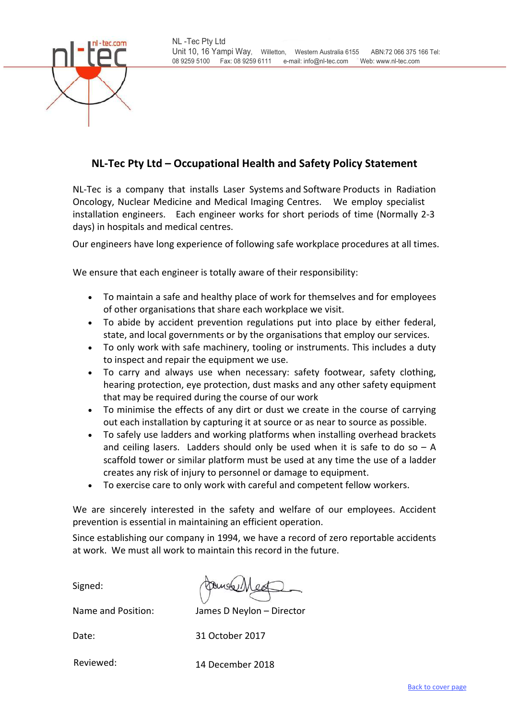<span id="page-5-0"></span>

# **NL‐Tec Pty Ltd – Occupational Health and Safety Policy Statement**

NL‐Tec is a company that installs Laser Systems and Software Products in Radiation Oncology, Nuclear Medicine and Medical Imaging Centres. We employ specialist installation engineers. Each engineer works for short periods of time (Normally 2‐3 days) in hospitals and medical centres.

Our engineers have long experience of following safe workplace procedures at all times.

We ensure that each engineer is totally aware of their responsibility:

- To maintain a safe and healthy place of work for themselves and for employees of other organisations that share each workplace we visit.
- To abide by accident prevention regulations put into place by either federal, state, and local governments or by the organisations that employ our services.
- To only work with safe machinery, tooling or instruments. This includes a duty to inspect and repair the equipment we use.
- To carry and always use when necessary: safety footwear, safety clothing, hearing protection, eye protection, dust masks and any other safety equipment that may be required during the course of our work
- To minimise the effects of any dirt or dust we create in the course of carrying out each installation by capturing it at source or as near to source as possible.
- To safely use ladders and working platforms when installing overhead brackets and ceiling lasers. Ladders should only be used when it is safe to do so  $- A$ scaffold tower or similar platform must be used at any time the use of a ladder creates any risk of injury to personnel or damage to equipment.
- To exercise care to only work with careful and competent fellow workers.

We are sincerely interested in the safety and welfare of our employees. Accident prevention is essential in maintaining an efficient operation.

Since establishing our company in 1994, we have a record of zero reportable accidents at work. We must all work to maintain this record in the future.

Signed:

Name and Position:

James D Neylon – Director

Date:

31 October 2017

Reviewed: 14 December 2018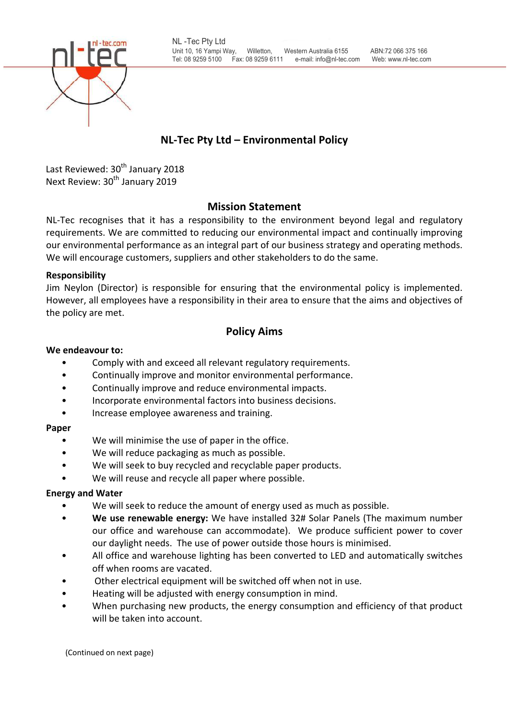<span id="page-6-0"></span>

# **NL‐Tec Pty Ltd – Environmental Policy**

Last Reviewed: 30<sup>th</sup> January 2018 Next Review: 30<sup>th</sup> January 2019

# **Mission Statement**

NL-Tec recognises that it has a responsibility to the environment beyond legal and regulatory requirements. We are committed to reducing our environmental impact and continually improving our environmental performance as an integral part of our business strategy and operating methods. We will encourage customers, suppliers and other stakeholders to do the same.

# **Responsibility**

Jim Neylon (Director) is responsible for ensuring that the environmental policy is implemented. However, all employees have a responsibility in their area to ensure that the aims and objectives of the policy are met.

# **Policy Aims**

# **We endeavour to:**

- Comply with and exceed all relevant regulatory requirements.
- Continually improve and monitor environmental performance.
- Continually improve and reduce environmental impacts.
- Incorporate environmental factors into business decisions.
- Increase employee awareness and training.

# **Paper**

- We will minimise the use of paper in the office.
- We will reduce packaging as much as possible.
- We will seek to buy recycled and recyclable paper products.
- We will reuse and recycle all paper where possible.

## **Energy and Water**

- We will seek to reduce the amount of energy used as much as possible.
- **We use renewable energy:** We have installed 32# Solar Panels (The maximum number our office and warehouse can accommodate). We produce sufficient power to cover our daylight needs. The use of power outside those hours is minimised.
- All office and warehouse lighting has been converted to LED and automatically switches off when rooms are vacated.
- Other electrical equipment will be switched off when not in use.
- Heating will be adjusted with energy consumption in mind.
- When purchasing new products, the energy consumption and efficiency of that product will be taken into account.

(Continued on next page)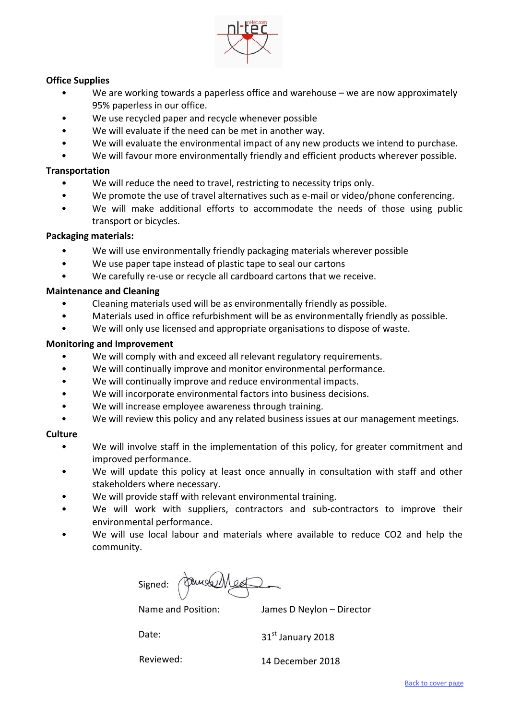

# **Office Supplies**

- We are working towards a paperless office and warehouse we are now approximately 95% paperless in our office.
- We use recycled paper and recycle whenever possible
- We will evaluate if the need can be met in another way.
- We will evaluate the environmental impact of any new products we intend to purchase.
- We will favour more environmentally friendly and efficient products wherever possible.

## **Transportation**

- We will reduce the need to travel, restricting to necessity trips only.
- We promote the use of travel alternatives such as e-mail or video/phone conferencing.
- We will make additional efforts to accommodate the needs of those using public transport or bicycles.

## **Packaging materials:**

- We will use environmentally friendly packaging materials wherever possible
- We use paper tape instead of plastic tape to seal our cartons
- We carefully re-use or recycle all cardboard cartons that we receive.

## **Maintenance and Cleaning**

- Cleaning materials used will be as environmentally friendly as possible.
- Materials used in office refurbishment will be as environmentally friendly as possible.
- We will only use licensed and appropriate organisations to dispose of waste.

## **Monitoring and Improvement**

- We will comply with and exceed all relevant regulatory requirements.
- We will continually improve and monitor environmental performance.
- We will continually improve and reduce environmental impacts.
- We will incorporate environmental factors into business decisions.
- We will increase employee awareness through training.
- We will review this policy and any related business issues at our management meetings.

## **Culture**

- We will involve staff in the implementation of this policy, for greater commitment and improved performance.
- We will update this policy at least once annually in consultation with staff and other stakeholders where necessary.
- We will provide staff with relevant environmental training.
- We will work with suppliers, contractors and sub-contractors to improve their environmental performance.
- We will use local labour and materials where available to reduce CO2 and help the community.

Signed:

Name and Position: James D Neylon – Director

Date:

31st January 2018

Reviewed: 14 December 2018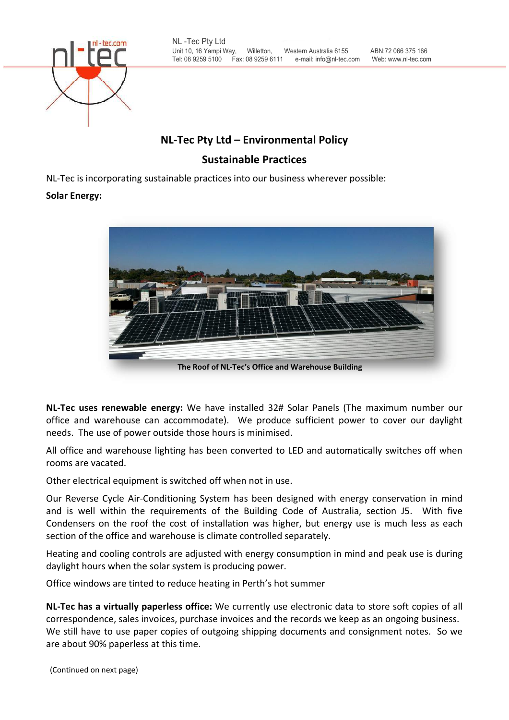<span id="page-8-0"></span>

# **NL‐Tec Pty Ltd – Environmental Policy**

# **Sustainable Practices**

NL‐Tec is incorporating sustainable practices into our business wherever possible:

# **Solar Energy:**



**The Roof of NL‐Tec's Office and Warehouse Building**

**NL‐Tec uses renewable energy:** We have installed 32# Solar Panels (The maximum number our office and warehouse can accommodate). We produce sufficient power to cover our daylight needs. The use of power outside those hours is minimised.

All office and warehouse lighting has been converted to LED and automatically switches off when rooms are vacated.

Other electrical equipment is switched off when not in use.

Our Reverse Cycle Air‐Conditioning System has been designed with energy conservation in mind and is well within the requirements of the Building Code of Australia, section J5. With five Condensers on the roof the cost of installation was higher, but energy use is much less as each section of the office and warehouse is climate controlled separately.

Heating and cooling controls are adjusted with energy consumption in mind and peak use is during daylight hours when the solar system is producing power.

Office windows are tinted to reduce heating in Perth's hot summer

**NL‐Tec has a virtually paperless office:** We currently use electronic data to store soft copies of all correspondence, sales invoices, purchase invoices and the records we keep as an ongoing business. We still have to use paper copies of outgoing shipping documents and consignment notes. So we are about 90% paperless at this time.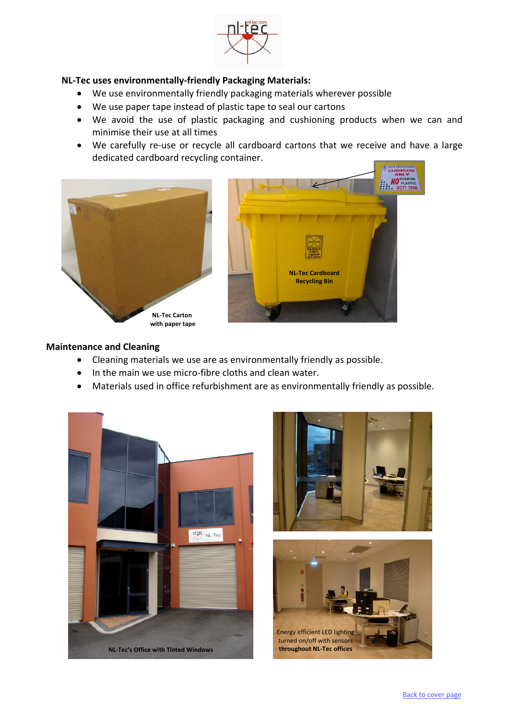

# **NL‐Tec uses environmentally‐friendly Packaging Materials:**

- We use environmentally friendly packaging materials wherever possible
- We use paper tape instead of plastic tape to seal our cartons
- We avoid the use of plastic packaging and cushioning products when we can and minimise their use at all times
- We carefully re-use or recycle all cardboard cartons that we receive and have a large dedicated cardboard recycling container.



#### **Maintenance and Cleaning**

- Cleaning materials we use are as environmentally friendly as possible.
- In the main we use micro-fibre cloths and clean water.
- Materials used in office refurbishment are as environmentally friendly as possible.





H.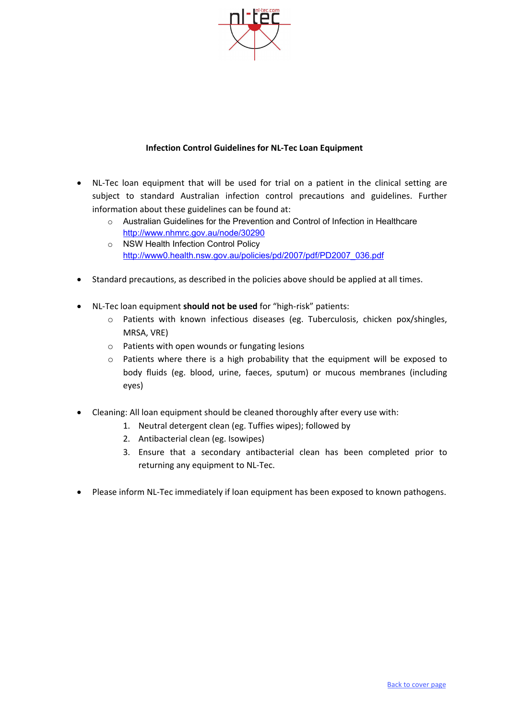

## **Infection Control Guidelines for NL‐Tec Loan Equipment**

- <span id="page-10-0"></span>• NL-Tec loan equipment that will be used for trial on a patient in the clinical setting are subject to standard Australian infection control precautions and guidelines. Further information about these guidelines can be found at:
	- $\circ$  Australian Guidelines for the Prevention and Control of Infection in Healthcare http://www.nhmrc.gov.au/node/30290
	- o NSW Health Infection Control Policy http://www0.health.nsw.gov.au/policies/pd/2007/pdf/PD2007\_036.pdf
- Standard precautions, as described in the policies above should be applied at all times.
- NL‐Tec loan equipment **should not be used** for "high‐risk" patients:
	- o Patients with known infectious diseases (eg. Tuberculosis, chicken pox/shingles, MRSA, VRE)
	- o Patients with open wounds or fungating lesions
	- o Patients where there is a high probability that the equipment will be exposed to body fluids (eg. blood, urine, faeces, sputum) or mucous membranes (including eyes)
- Cleaning: All loan equipment should be cleaned thoroughly after every use with:
	- 1. Neutral detergent clean (eg. Tuffies wipes); followed by
	- 2. Antibacterial clean (eg. Isowipes)
	- 3. Ensure that a secondary antibacterial clean has been completed prior to returning any equipment to NL‐Tec.
- Please inform NL-Tec immediately if loan equipment has been exposed to known pathogens.